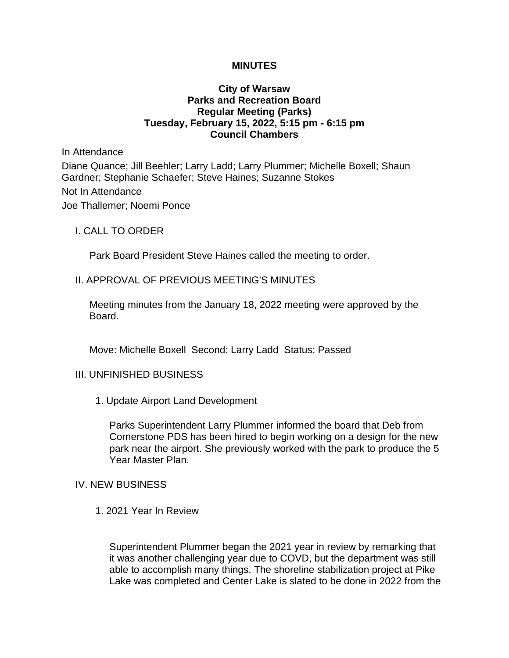#### **MINUTES**

## **City of Warsaw Parks and Recreation Board Regular Meeting (Parks) Tuesday, February 15, 2022, 5:15 pm - 6:15 pm Council Chambers**

In Attendance Diane Quance; Jill Beehler; Larry Ladd; Larry Plummer; Michelle Boxell; Shaun Gardner; Stephanie Schaefer; Steve Haines; Suzanne Stokes Not In Attendance Joe Thallemer; Noemi Ponce

I. CALL TO ORDER

Park Board President Steve Haines called the meeting to order.

### II. APPROVAL OF PREVIOUS MEETING'S MINUTES

Meeting minutes from the January 18, 2022 meeting were approved by the Board.

Move: Michelle Boxell Second: Larry Ladd Status: Passed

#### III. UNFINISHED BUSINESS

1. Update Airport Land Development

Parks Superintendent Larry Plummer informed the board that Deb from Cornerstone PDS has been hired to begin working on a design for the new park near the airport. She previously worked with the park to produce the 5 Year Master Plan.

#### IV. NEW BUSINESS

1. 2021 Year In Review

Superintendent Plummer began the 2021 year in review by remarking that it was another challenging year due to COVD, but the department was still able to accomplish many things. The shoreline stabilization project at Pike Lake was completed and Center Lake is slated to be done in 2022 from the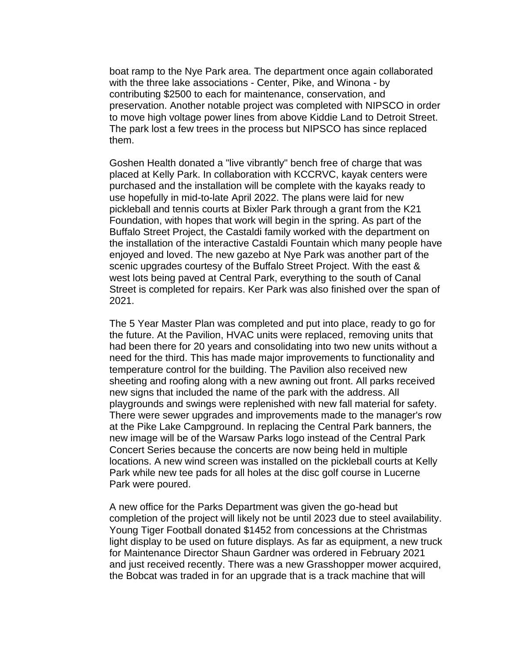boat ramp to the Nye Park area. The department once again collaborated with the three lake associations - Center, Pike, and Winona - by contributing \$2500 to each for maintenance, conservation, and preservation. Another notable project was completed with NIPSCO in order to move high voltage power lines from above Kiddie Land to Detroit Street. The park lost a few trees in the process but NIPSCO has since replaced them.

Goshen Health donated a "live vibrantly" bench free of charge that was placed at Kelly Park. In collaboration with KCCRVC, kayak centers were purchased and the installation will be complete with the kayaks ready to use hopefully in mid-to-late April 2022. The plans were laid for new pickleball and tennis courts at Bixler Park through a grant from the K21 Foundation, with hopes that work will begin in the spring. As part of the Buffalo Street Project, the Castaldi family worked with the department on the installation of the interactive Castaldi Fountain which many people have enjoyed and loved. The new gazebo at Nye Park was another part of the scenic upgrades courtesy of the Buffalo Street Project. With the east & west lots being paved at Central Park, everything to the south of Canal Street is completed for repairs. Ker Park was also finished over the span of 2021.

The 5 Year Master Plan was completed and put into place, ready to go for the future. At the Pavilion, HVAC units were replaced, removing units that had been there for 20 years and consolidating into two new units without a need for the third. This has made major improvements to functionality and temperature control for the building. The Pavilion also received new sheeting and roofing along with a new awning out front. All parks received new signs that included the name of the park with the address. All playgrounds and swings were replenished with new fall material for safety. There were sewer upgrades and improvements made to the manager's row at the Pike Lake Campground. In replacing the Central Park banners, the new image will be of the Warsaw Parks logo instead of the Central Park Concert Series because the concerts are now being held in multiple locations. A new wind screen was installed on the pickleball courts at Kelly Park while new tee pads for all holes at the disc golf course in Lucerne Park were poured.

A new office for the Parks Department was given the go-head but completion of the project will likely not be until 2023 due to steel availability. Young Tiger Football donated \$1452 from concessions at the Christmas light display to be used on future displays. As far as equipment, a new truck for Maintenance Director Shaun Gardner was ordered in February 2021 and just received recently. There was a new Grasshopper mower acquired, the Bobcat was traded in for an upgrade that is a track machine that will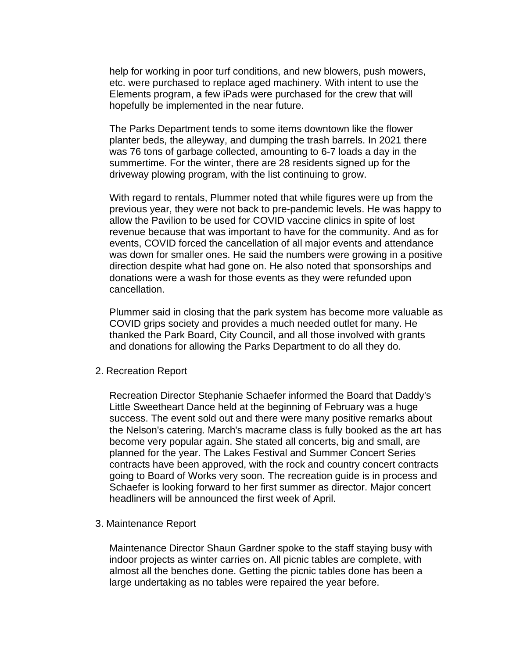help for working in poor turf conditions, and new blowers, push mowers, etc. were purchased to replace aged machinery. With intent to use the Elements program, a few iPads were purchased for the crew that will hopefully be implemented in the near future.

The Parks Department tends to some items downtown like the flower planter beds, the alleyway, and dumping the trash barrels. In 2021 there was 76 tons of garbage collected, amounting to 6-7 loads a day in the summertime. For the winter, there are 28 residents signed up for the driveway plowing program, with the list continuing to grow.

With regard to rentals, Plummer noted that while figures were up from the previous year, they were not back to pre-pandemic levels. He was happy to allow the Pavilion to be used for COVID vaccine clinics in spite of lost revenue because that was important to have for the community. And as for events, COVID forced the cancellation of all major events and attendance was down for smaller ones. He said the numbers were growing in a positive direction despite what had gone on. He also noted that sponsorships and donations were a wash for those events as they were refunded upon cancellation.

Plummer said in closing that the park system has become more valuable as COVID grips society and provides a much needed outlet for many. He thanked the Park Board, City Council, and all those involved with grants and donations for allowing the Parks Department to do all they do.

2. Recreation Report

Recreation Director Stephanie Schaefer informed the Board that Daddy's Little Sweetheart Dance held at the beginning of February was a huge success. The event sold out and there were many positive remarks about the Nelson's catering. March's macrame class is fully booked as the art has become very popular again. She stated all concerts, big and small, are planned for the year. The Lakes Festival and Summer Concert Series contracts have been approved, with the rock and country concert contracts going to Board of Works very soon. The recreation guide is in process and Schaefer is looking forward to her first summer as director. Major concert headliners will be announced the first week of April.

3. Maintenance Report

Maintenance Director Shaun Gardner spoke to the staff staying busy with indoor projects as winter carries on. All picnic tables are complete, with almost all the benches done. Getting the picnic tables done has been a large undertaking as no tables were repaired the year before.